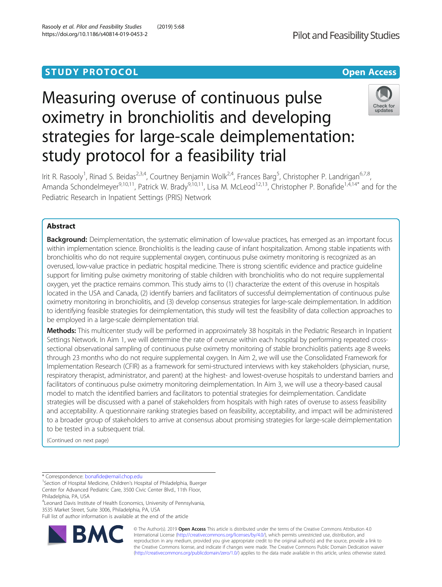# Measuring overuse of continuous pulse oximetry in bronchiolitis and developing strategies for large-scale deimplementation: study protocol for a feasibility trial



Irit R. Rasooly<sup>1</sup>, Rinad S. Beidas<sup>2,3,4</sup>, Courtney Benjamin Wolk<sup>2,4</sup>, Frances Barg<sup>5</sup>, Christopher P. Landrigan<sup>6,7,8</sup>, Amanda Schondelmeyer<sup>9,10,11</sup>, Patrick W. Brady<sup>9,10,11</sup>, Lisa M. McLeod<sup>12,13</sup>, Christopher P. Bonafide<sup>1,4,14\*</sup> and for the Pediatric Research in Inpatient Settings (PRIS) Network

# Abstract

Background: Deimplementation, the systematic elimination of low-value practices, has emerged as an important focus within implementation science. Bronchiolitis is the leading cause of infant hospitalization. Among stable inpatients with bronchiolitis who do not require supplemental oxygen, continuous pulse oximetry monitoring is recognized as an overused, low-value practice in pediatric hospital medicine. There is strong scientific evidence and practice guideline support for limiting pulse oximetry monitoring of stable children with bronchiolitis who do not require supplemental oxygen, yet the practice remains common. This study aims to (1) characterize the extent of this overuse in hospitals located in the USA and Canada, (2) identify barriers and facilitators of successful deimplementation of continuous pulse oximetry monitoring in bronchiolitis, and (3) develop consensus strategies for large-scale deimplementation. In addition to identifying feasible strategies for deimplementation, this study will test the feasibility of data collection approaches to be employed in a large-scale deimplementation trial.

Methods: This multicenter study will be performed in approximately 38 hospitals in the Pediatric Research in Inpatient Settings Network. In Aim 1, we will determine the rate of overuse within each hospital by performing repeated crosssectional observational sampling of continuous pulse oximetry monitoring of stable bronchiolitis patients age 8 weeks through 23 months who do not require supplemental oxygen. In Aim 2, we will use the Consolidated Framework for Implementation Research (CFIR) as a framework for semi-structured interviews with key stakeholders (physician, nurse, respiratory therapist, administrator, and parent) at the highest- and lowest-overuse hospitals to understand barriers and facilitators of continuous pulse oximetry monitoring deimplementation. In Aim 3, we will use a theory-based causal model to match the identified barriers and facilitators to potential strategies for deimplementation. Candidate strategies will be discussed with a panel of stakeholders from hospitals with high rates of overuse to assess feasibility and acceptability. A questionnaire ranking strategies based on feasibility, acceptability, and impact will be administered to a broader group of stakeholders to arrive at consensus about promising strategies for large-scale deimplementation to be tested in a subsequent trial.

(Continued on next page)

\* Correspondence: [bonafide@email.chop.edu](mailto:bonafide@email.chop.edu) <sup>1</sup>

4 Leonard Davis Institute of Health Economics, University of Pennsylvania, 3535 Market Street, Suite 3006, Philadelphia, PA, USA

Full list of author information is available at the end of the article



© The Author(s). 2019 Open Access This article is distributed under the terms of the Creative Commons Attribution 4.0 International License [\(http://creativecommons.org/licenses/by/4.0/](http://creativecommons.org/licenses/by/4.0/)), which permits unrestricted use, distribution, and reproduction in any medium, provided you give appropriate credit to the original author(s) and the source, provide a link to the Creative Commons license, and indicate if changes were made. The Creative Commons Public Domain Dedication waiver [\(http://creativecommons.org/publicdomain/zero/1.0/](http://creativecommons.org/publicdomain/zero/1.0/)) applies to the data made available in this article, unless otherwise stated.

<sup>&</sup>lt;sup>1</sup>Section of Hospital Medicine, Children's Hospital of Philadelphia, Buerger Center for Advanced Pediatric Care, 3500 Civic Center Blvd., 11th Floor, Philadelphia, PA, USA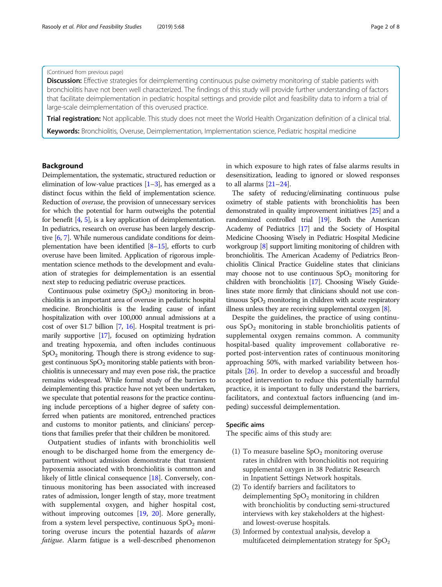# (Continued from previous page)

Discussion: Effective strategies for deimplementing continuous pulse oximetry monitoring of stable patients with bronchiolitis have not been well characterized. The findings of this study will provide further understanding of factors that facilitate deimplementation in pediatric hospital settings and provide pilot and feasibility data to inform a trial of large-scale deimplementation of this overused practice.

**Trial registration:** Not applicable. This study does not meet the World Health Organization definition of a clinical trial.

Keywords: Bronchiolitis, Overuse, Deimplementation, Implementation science, Pediatric hospital medicine

# Background

Deimplementation, the systematic, structured reduction or elimination of low-value practices  $[1-3]$  $[1-3]$  $[1-3]$  $[1-3]$  $[1-3]$ , has emerged as a distinct focus within the field of implementation science. Reduction of overuse, the provision of unnecessary services for which the potential for harm outweighs the potential for benefit [\[4,](#page-6-0) [5](#page-6-0)], is a key application of deimplementation. In pediatrics, research on overuse has been largely descriptive [[6](#page-6-0), [7\]](#page-6-0). While numerous candidate conditions for deimplementation have been identified  $[8-15]$  $[8-15]$  $[8-15]$  $[8-15]$ , efforts to curb overuse have been limited. Application of rigorous implementation science methods to the development and evaluation of strategies for deimplementation is an essential next step to reducing pediatric overuse practices.

Continuous pulse oximetry  $(SpO<sub>2</sub>)$  monitoring in bronchiolitis is an important area of overuse in pediatric hospital medicine. Bronchiolitis is the leading cause of infant hospitalization with over 100,000 annual admissions at a cost of over \$1.7 billion [\[7,](#page-6-0) [16](#page-7-0)]. Hospital treatment is primarily supportive [[17](#page-7-0)], focused on optimizing hydration and treating hypoxemia, and often includes continuous  $SpO<sub>2</sub>$  monitoring. Though there is strong evidence to suggest continuous  $SpO<sub>2</sub>$  monitoring stable patients with bronchiolitis is unnecessary and may even pose risk, the practice remains widespread. While formal study of the barriers to deimplementing this practice have not yet been undertaken, we speculate that potential reasons for the practice continuing include perceptions of a higher degree of safety conferred when patients are monitored, entrenched practices and customs to monitor patients, and clinicians' perceptions that families prefer that their children be monitored.

Outpatient studies of infants with bronchiolitis well enough to be discharged home from the emergency department without admission demonstrate that transient hypoxemia associated with bronchiolitis is common and likely of little clinical consequence [[18\]](#page-7-0). Conversely, continuous monitoring has been associated with increased rates of admission, longer length of stay, more treatment with supplemental oxygen, and higher hospital cost, without improving outcomes [[19](#page-7-0), [20](#page-7-0)]. More generally, from a system level perspective, continuous  $SpO<sub>2</sub>$  monitoring overuse incurs the potential hazards of alarm fatigue. Alarm fatigue is a well-described phenomenon in which exposure to high rates of false alarms results in desensitization, leading to ignored or slowed responses to all alarms [[21](#page-7-0)–[24](#page-7-0)].

The safety of reducing/eliminating continuous pulse oximetry of stable patients with bronchiolitis has been demonstrated in quality improvement initiatives [\[25](#page-7-0)] and a randomized controlled trial [\[19](#page-7-0)]. Both the American Academy of Pediatrics [\[17\]](#page-7-0) and the Society of Hospital Medicine Choosing Wisely in Pediatric Hospital Medicine workgroup [\[8](#page-6-0)] support limiting monitoring of children with bronchiolitis. The American Academy of Pediatrics Bronchiolitis Clinical Practice Guideline states that clinicians may choose not to use continuous  $SpO<sub>2</sub>$  monitoring for children with bronchiolitis [\[17\]](#page-7-0). Choosing Wisely Guidelines state more firmly that clinicians should not use continuous  $SpO<sub>2</sub>$  monitoring in children with acute respiratory illness unless they are receiving supplemental oxygen [[8](#page-6-0)].

Despite the guidelines, the practice of using continuous  $SpO<sub>2</sub>$  monitoring in stable bronchiolitis patients of supplemental oxygen remains common. A community hospital-based quality improvement collaborative reported post-intervention rates of continuous monitoring approaching 50%, with marked variability between hospitals [\[26](#page-7-0)]. In order to develop a successful and broadly accepted intervention to reduce this potentially harmful practice, it is important to fully understand the barriers, facilitators, and contextual factors influencing (and impeding) successful deimplementation.

# Specific aims

The specific aims of this study are:

- (1) To measure baseline  $SpO<sub>2</sub>$  monitoring overuse rates in children with bronchiolitis not requiring supplemental oxygen in 38 Pediatric Research in Inpatient Settings Network hospitals.
- (2) To identify barriers and facilitators to deimplementing  $SpO<sub>2</sub>$  monitoring in children with bronchiolitis by conducting semi-structured interviews with key stakeholders at the highestand lowest-overuse hospitals.
- (3) Informed by contextual analysis, develop a multifaceted deimplementation strategy for  $SpO<sub>2</sub>$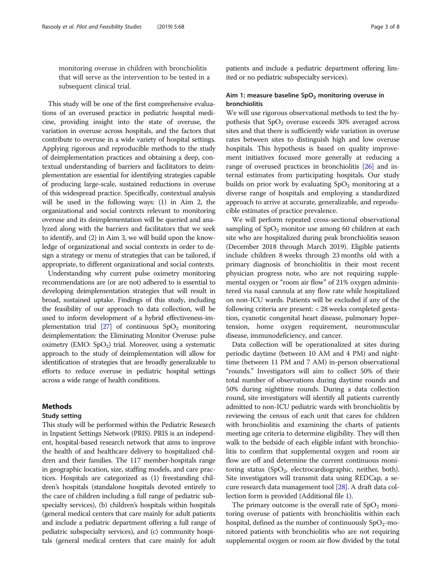monitoring overuse in children with bronchiolitis that will serve as the intervention to be tested in a subsequent clinical trial.

This study will be one of the first comprehensive evaluations of an overused practice in pediatric hospital medicine, providing insight into the state of overuse, the variation in overuse across hospitals, and the factors that contribute to overuse in a wide variety of hospital settings. Applying rigorous and reproducible methods to the study of deimplementation practices and obtaining a deep, contextual understanding of barriers and facilitators to deimplementation are essential for identifying strategies capable of producing large-scale, sustained reductions in overuse of this widespread practice. Specifically, contextual analysis will be used in the following ways: (1) in Aim 2, the organizational and social contexts relevant to monitoring overuse and its deimplementation will be queried and analyzed along with the barriers and facilitators that we seek to identify, and (2) in Aim 3, we will build upon the knowledge of organizational and social contexts in order to design a strategy or menu of strategies that can be tailored, if appropriate, to different organizational and social contexts.

Understanding why current pulse oximetry monitoring recommendations are (or are not) adhered to is essential to developing deimplementation strategies that will result in broad, sustained uptake. Findings of this study, including the feasibility of our approach to data collection, will be used to inform development of a hybrid effectiveness-implementation trial  $[27]$  of continuous  $SpO<sub>2</sub>$  monitoring deimplementation: the Eliminating Monitor Overuse: pulse oximetry (EMO:  $SpO<sub>2</sub>$ ) trial. Moreover, using a systematic approach to the study of deimplementation will allow for identification of strategies that are broadly generalizable to efforts to reduce overuse in pediatric hospital settings across a wide range of health conditions.

# Methods

# Study setting

This study will be performed within the Pediatric Research in Inpatient Settings Network (PRIS). PRIS is an independent, hospital-based research network that aims to improve the health of and healthcare delivery to hospitalized children and their families. The 117 member-hospitals range in geographic location, size, staffing models, and care practices. Hospitals are categorized as (1) freestanding children's hospitals (standalone hospitals devoted entirely to the care of children including a full range of pediatric subspecialty services), (b) children's hospitals within hospitals (general medical centers that care mainly for adult patients and include a pediatric department offering a full range of pediatric subspecialty services), and (c) community hospitals (general medical centers that care mainly for adult

patients and include a pediatric department offering limited or no pediatric subspecialty services).

# Aim 1: measure baseline  $SpO<sub>2</sub>$  monitoring overuse in bronchiolitis

We will use rigorous observational methods to test the hypothesis that  $SpO<sub>2</sub>$  overuse exceeds 30% averaged across sites and that there is sufficiently wide variation in overuse rates between sites to distinguish high and low overuse hospitals. This hypothesis is based on quality improvement initiatives focused more generally at reducing a range of overused practices in bronchiolitis [\[26](#page-7-0)] and internal estimates from participating hospitals. Our study builds on prior work by evaluating  $SpO<sub>2</sub>$  monitoring at a diverse range of hospitals and employing a standardized approach to arrive at accurate, generalizable, and reproducible estimates of practice prevalence.

We will perform repeated cross-sectional observational sampling of  $SpO<sub>2</sub>$  monitor use among 60 children at each site who are hospitalized during peak bronchiolitis season (December 2018 through March 2019). Eligible patients include children 8 weeks through 23 months old with a primary diagnosis of bronchiolitis in their most recent physician progress note, who are not requiring supplemental oxygen or "room air flow" of 21% oxygen administered via nasal cannula at any flow rate while hospitalized on non-ICU wards. Patients will be excluded if any of the following criteria are present: < 28 weeks completed gestation, cyanotic congenital heart disease, pulmonary hypertension, home oxygen requirement, neuromuscular disease, immunodeficiency, and cancer.

Data collection will be operationalized at sites during periodic daytime (between 10 AM and 4 PM) and nighttime (between 11 PM and 7 AM) in-person observational "rounds." Investigators will aim to collect 50% of their total number of observations during daytime rounds and 50% during nighttime rounds. During a data collection round, site investigators will identify all patients currently admitted to non-ICU pediatric wards with bronchiolitis by reviewing the census of each unit that cares for children with bronchiolitis and examining the charts of patients meeting age criteria to determine eligibility. They will then walk to the bedside of each eligible infant with bronchiolitis to confirm that supplemental oxygen and room air flow are off and determine the current continuous monitoring status  $(SpO<sub>2</sub>$ , electrocardiographic, neither, both). Site investigators will transmit data using REDCap, a secure research data management tool [[28](#page-7-0)]. A draft data collection form is provided (Additional file [1\)](#page-6-0).

The primary outcome is the overall rate of  $SpO<sub>2</sub>$  monitoring overuse of patients with bronchiolitis within each hospital, defined as the number of continuously  $SpO<sub>2</sub>$ -monitored patients with bronchiolitis who are not requiring supplemental oxygen or room air flow divided by the total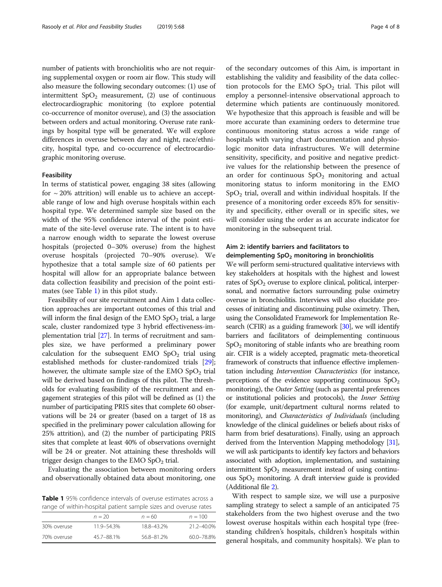number of patients with bronchiolitis who are not requiring supplemental oxygen or room air flow. This study will also measure the following secondary outcomes: (1) use of intermittent  $SpO<sub>2</sub>$  measurement, (2) use of continuous electrocardiographic monitoring (to explore potential co-occurrence of monitor overuse), and (3) the association between orders and actual monitoring. Overuse rate rankings by hospital type will be generated. We will explore differences in overuse between day and night, race/ethnicity, hospital type, and co-occurrence of electrocardiographic monitoring overuse.

### Feasibility

In terms of statistical power, engaging 38 sites (allowing for  $\sim$  20% attrition) will enable us to achieve an acceptable range of low and high overuse hospitals within each hospital type. We determined sample size based on the width of the 95% confidence interval of the point estimate of the site-level overuse rate. The intent is to have a narrow enough width to separate the lowest overuse hospitals (projected 0–30% overuse) from the highest overuse hospitals (projected 70–90% overuse). We hypothesize that a total sample size of 60 patients per hospital will allow for an appropriate balance between data collection feasibility and precision of the point estimates (see Table 1) in this pilot study.

Feasibility of our site recruitment and Aim 1 data collection approaches are important outcomes of this trial and will inform the final design of the EMO  $SpO<sub>2</sub>$  trial, a large scale, cluster randomized type 3 hybrid effectiveness-implementation trial [\[27\]](#page-7-0). In terms of recruitment and samples size, we have performed a preliminary power calculation for the subsequent EMO  $SpO<sub>2</sub>$  trial using established methods for cluster-randomized trials [[29](#page-7-0)]; however, the ultimate sample size of the EMO  $SpO<sub>2</sub>$  trial will be derived based on findings of this pilot. The thresholds for evaluating feasibility of the recruitment and engagement strategies of this pilot will be defined as (1) the number of participating PRIS sites that complete 60 observations will be 24 or greater (based on a target of 18 as specified in the preliminary power calculation allowing for 25% attrition), and (2) the number of participating PRIS sites that complete at least 40% of observations overnight will be 24 or greater. Not attaining these thresholds will trigger design changes to the EMO  $SpO<sub>2</sub>$  trial.

Evaluating the association between monitoring orders and observationally obtained data about monitoring, one

Table 1 95% confidence intervals of overuse estimates across a range of within-hospital patient sample sizes and overuse rates

|             | $n = 20$   | $n = 60$   | $n = 100$  |  |  |
|-------------|------------|------------|------------|--|--|
| 30% overuse | 11.9-54.3% | 18.8-43.2% | 21.2-40.0% |  |  |
| 70% overuse | 45.7-88.1% | 56.8-81.2% | 60.0-78.8% |  |  |

of the secondary outcomes of this Aim, is important in establishing the validity and feasibility of the data collection protocols for the EMO  $SpO<sub>2</sub>$  trial. This pilot will employ a personnel-intensive observational approach to determine which patients are continuously monitored. We hypothesize that this approach is feasible and will be more accurate than examining orders to determine true continuous monitoring status across a wide range of hospitals with varying chart documentation and physiologic monitor data infrastructures. We will determine sensitivity, specificity, and positive and negative predictive values for the relationship between the presence of an order for continuous  $SpO<sub>2</sub>$  monitoring and actual monitoring status to inform monitoring in the EMO  $SpO<sub>2</sub>$  trial, overall and within individual hospitals. If the presence of a monitoring order exceeds 85% for sensitivity and specificity, either overall or in specific sites, we will consider using the order as an accurate indicator for monitoring in the subsequent trial.

# Aim 2: identify barriers and facilitators to deimplementing  $SpO<sub>2</sub>$  monitoring in bronchiolitis

We will perform semi-structured qualitative interviews with key stakeholders at hospitals with the highest and lowest rates of  $SpO<sub>2</sub>$  overuse to explore clinical, political, interpersonal, and normative factors surrounding pulse oximetry overuse in bronchiolitis. Interviews will also elucidate processes of initiating and discontinuing pulse oximetry. Then, using the Consolidated Framework for Implementation Research (CFIR) as a guiding framework [\[30](#page-7-0)], we will identify barriers and facilitators of deimplementing continuous  $SpO<sub>2</sub>$  monitoring of stable infants who are breathing room air. CFIR is a widely accepted, pragmatic meta-theoretical framework of constructs that influence effective implementation including Intervention Characteristics (for instance, perceptions of the evidence supporting continuous  $SpO<sub>2</sub>$ monitoring), the *Outer Setting* (such as parental preferences or institutional policies and protocols), the Inner Setting (for example, unit/department cultural norms related to monitoring), and Characteristics of Individuals (including knowledge of the clinical guidelines or beliefs about risks of harm from brief desaturations). Finally, using an approach derived from the Intervention Mapping methodology [\[31](#page-7-0)], we will ask participants to identify key factors and behaviors associated with adoption, implementation, and sustaining intermittent  $SpO<sub>2</sub>$  measurement instead of using continuous  $SpO<sub>2</sub>$  monitoring. A draft interview guide is provided (Additional file [2\)](#page-6-0).

With respect to sample size, we will use a purposive sampling strategy to select a sample of an anticipated 75 stakeholders from the two highest overuse and the two lowest overuse hospitals within each hospital type (freestanding children's hospitals, children's hospitals within general hospitals, and community hospitals). We plan to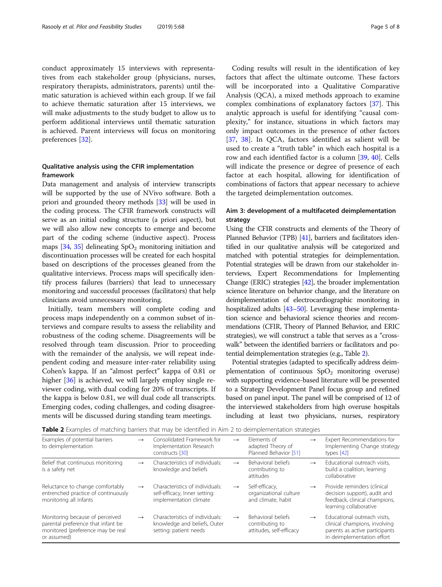conduct approximately 15 interviews with representatives from each stakeholder group (physicians, nurses, respiratory therapists, administrators, parents) until thematic saturation is achieved within each group. If we fail to achieve thematic saturation after 15 interviews, we will make adjustments to the study budget to allow us to perform additional interviews until thematic saturation is achieved. Parent interviews will focus on monitoring preferences [\[32](#page-7-0)].

# Qualitative analysis using the CFIR implementation framework

Data management and analysis of interview transcripts will be supported by the use of NVivo software. Both a priori and grounded theory methods [[33](#page-7-0)] will be used in the coding process. The CFIR framework constructs will serve as an initial coding structure (a priori aspect), but we will also allow new concepts to emerge and become part of the coding scheme (inductive aspect). Process maps  $[34, 35]$  $[34, 35]$  $[34, 35]$  $[34, 35]$  delineating  $SpO<sub>2</sub>$  monitoring initiation and discontinuation processes will be created for each hospital based on descriptions of the processes gleaned from the qualitative interviews. Process maps will specifically identify process failures (barriers) that lead to unnecessary monitoring and successful processes (facilitators) that help clinicians avoid unnecessary monitoring.

Initially, team members will complete coding and process maps independently on a common subset of interviews and compare results to assess the reliability and robustness of the coding scheme. Disagreements will be resolved through team discussion. Prior to proceeding with the remainder of the analysis, we will repeat independent coding and measure inter-rater reliability using Cohen's kappa. If an "almost perfect" kappa of 0.81 or higher [\[36](#page-7-0)] is achieved, we will largely employ single reviewer coding, with dual coding for 20% of transcripts. If the kappa is below 0.81, we will dual code all transcripts. Emerging codes, coding challenges, and coding disagreements will be discussed during standing team meetings.

Coding results will result in the identification of key factors that affect the ultimate outcome. These factors will be incorporated into a Qualitative Comparative Analysis (QCA), a mixed methods approach to examine complex combinations of explanatory factors [\[37](#page-7-0)]. This analytic approach is useful for identifying "causal complexity," for instance, situations in which factors may only impact outcomes in the presence of other factors [[37,](#page-7-0) [38\]](#page-7-0). In QCA, factors identified as salient will be used to create a "truth table" in which each hospital is a row and each identified factor is a column [\[39](#page-7-0), [40](#page-7-0)]. Cells will indicate the presence or degree of presence of each factor at each hospital, allowing for identification of combinations of factors that appear necessary to achieve the targeted deimplementation outcomes.

# Aim 3: development of a multifaceted deimplementation strategy

Using the CFIR constructs and elements of the Theory of Planned Behavior (TPB) [\[41\]](#page-7-0), barriers and facilitators identified in our qualitative analysis will be categorized and matched with potential strategies for deimplementation. Potential strategies will be drawn from our stakeholder interviews, Expert Recommendations for Implementing Change (ERIC) strategies [\[42](#page-7-0)], the broader implementation science literature on behavior change, and the literature on deimplementation of electrocardiographic monitoring in hospitalized adults [\[43](#page-7-0)–[50\]](#page-7-0). Leveraging these implementation science and behavioral science theories and recommendations (CFIR, Theory of Planned Behavior, and ERIC strategies), we will construct a table that serves as a "crosswalk" between the identified barriers or facilitators and potential deimplementation strategies (e.g., Table 2).

Potential strategies (adapted to specifically address deimplementation of continuous  $SpO<sub>2</sub>$  monitoring overuse) with supporting evidence-based literature will be presented to a Strategy Development Panel focus group and refined based on panel input. The panel will be comprised of 12 of the interviewed stakeholders from high overuse hospitals including at least two physicians, nurses, respiratory

Table 2 Examples of matching barriers that may be identified in Aim 2 to deimplementation strategies

| Examples of potential barriers<br>to deimplementation                                                                     | $\rightarrow$ | Consolidated Framework for<br>Implementation Research<br>constructs [30]                   | $\rightarrow$ | Flements of<br>adapted Theory of<br>Planned Behavior [51]         | $\rightarrow$ | Expert Recommendations for<br>Implementing Change strategy<br>types $[42]$                                                    |
|---------------------------------------------------------------------------------------------------------------------------|---------------|--------------------------------------------------------------------------------------------|---------------|-------------------------------------------------------------------|---------------|-------------------------------------------------------------------------------------------------------------------------------|
| Belief that continuous monitoring<br>is a safety net                                                                      | $\rightarrow$ | Characteristics of individuals:<br>knowledge and beliefs                                   | $\rightarrow$ | Behavioral beliefs<br>contributing to<br>attitudes                | $\rightarrow$ | Educational outreach visits,<br>build a coalition, learning<br>collaborative                                                  |
| Reluctance to change comfortably<br>entrenched practice of continuously<br>monitoring all infants                         | $\rightarrow$ | Characteristics of individuals:<br>self-efficacy, Inner setting:<br>implementation climate | $\rightarrow$ | Self-efficacy,<br>organizational culture<br>and climate, habit    | $\rightarrow$ | Provide reminders (clinical<br>decision support), audit and<br>feedback, clinical champions,<br>learning collaborative        |
| Monitoring because of perceived<br>parental preference that infant be<br>monitored (preference may be real<br>or assumed) | $\rightarrow$ | Characteristics of individuals:<br>knowledge and beliefs, Outer<br>setting: patient needs  | $\rightarrow$ | Behavioral beliefs<br>contributing to<br>attitudes, self-efficacy | $\rightarrow$ | Educational outreach visits.<br>clinical champions, involving<br>parents as active participants<br>in deimplementation effort |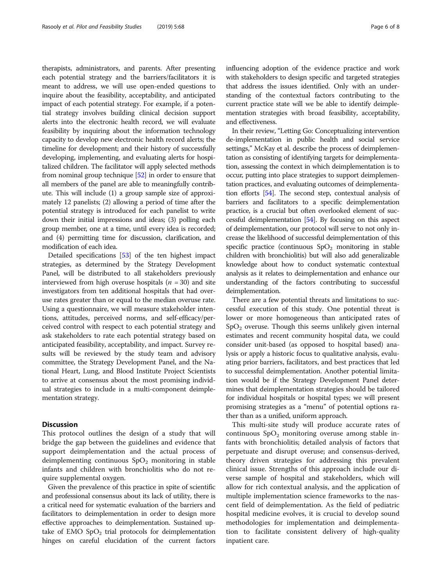therapists, administrators, and parents. After presenting each potential strategy and the barriers/facilitators it is meant to address, we will use open-ended questions to inquire about the feasibility, acceptability, and anticipated impact of each potential strategy. For example, if a potential strategy involves building clinical decision support alerts into the electronic health record, we will evaluate feasibility by inquiring about the information technology capacity to develop new electronic health record alerts; the timeline for development; and their history of successfully developing, implementing, and evaluating alerts for hospitalized children. The facilitator will apply selected methods from nominal group technique [\[52\]](#page-7-0) in order to ensure that all members of the panel are able to meaningfully contribute. This will include (1) a group sample size of approximately 12 panelists; (2) allowing a period of time after the potential strategy is introduced for each panelist to write down their initial impressions and ideas; (3) polling each group member, one at a time, until every idea is recorded; and (4) permitting time for discussion, clarification, and modification of each idea.

Detailed specifications [\[53\]](#page-7-0) of the ten highest impact strategies, as determined by the Strategy Development Panel, will be distributed to all stakeholders previously interviewed from high overuse hospitals ( $n = 30$ ) and site investigators from ten additional hospitals that had overuse rates greater than or equal to the median overuse rate. Using a questionnaire, we will measure stakeholder intentions, attitudes, perceived norms, and self-efficacy/perceived control with respect to each potential strategy and ask stakeholders to rate each potential strategy based on anticipated feasibility, acceptability, and impact. Survey results will be reviewed by the study team and advisory committee, the Strategy Development Panel, and the National Heart, Lung, and Blood Institute Project Scientists to arrive at consensus about the most promising individual strategies to include in a multi-component deimplementation strategy.

# **Discussion**

This protocol outlines the design of a study that will bridge the gap between the guidelines and evidence that support deimplementation and the actual process of deimplementing continuous  $SpO<sub>2</sub>$  monitoring in stable infants and children with bronchiolitis who do not require supplemental oxygen.

Given the prevalence of this practice in spite of scientific and professional consensus about its lack of utility, there is a critical need for systematic evaluation of the barriers and facilitators to deimplementation in order to design more effective approaches to deimplementation. Sustained uptake of  $EMO SpO<sub>2</sub>$  trial protocols for deimplementation hinges on careful elucidation of the current factors influencing adoption of the evidence practice and work with stakeholders to design specific and targeted strategies that address the issues identified. Only with an understanding of the contextual factors contributing to the current practice state will we be able to identify deimplementation strategies with broad feasibility, acceptability, and effectiveness.

In their review, "Letting Go: Conceptualizing intervention de-implementation in public health and social service settings," McKay et al. describe the process of deimplementation as consisting of identifying targets for deimplementation, assessing the context in which deimplementation is to occur, putting into place strategies to support deimplementation practices, and evaluating outcomes of deimplementation efforts [\[54\]](#page-7-0). The second step, contextual analysis of barriers and facilitators to a specific deimplementation practice, is a crucial but often overlooked element of successful deimplementation [\[54](#page-7-0)]. By focusing on this aspect of deimplementation, our protocol will serve to not only increase the likelihood of successful deimplementation of this specific practice (continuous  $SpO<sub>2</sub>$  monitoring in stable children with bronchiolitis) but will also add generalizable knowledge about how to conduct systematic contextual analysis as it relates to deimplementation and enhance our understanding of the factors contributing to successful deimplementation.

There are a few potential threats and limitations to successful execution of this study. One potential threat is lower or more homogeneous than anticipated rates of  $SpO<sub>2</sub>$  overuse. Though this seems unlikely given internal estimates and recent community hospital data, we could consider unit-based (as opposed to hospital based) analysis or apply a historic focus to qualitative analysis, evaluating prior barriers, facilitators, and best practices that led to successful deimplementation. Another potential limitation would be if the Strategy Development Panel determines that deimplementation strategies should be tailored for individual hospitals or hospital types; we will present promising strategies as a "menu" of potential options rather than as a unified, uniform approach.

This multi-site study will produce accurate rates of continuous  $SpO<sub>2</sub>$  monitoring overuse among stable infants with bronchiolitis; detailed analysis of factors that perpetuate and disrupt overuse; and consensus-derived, theory driven strategies for addressing this prevalent clinical issue. Strengths of this approach include our diverse sample of hospital and stakeholders, which will allow for rich contextual analysis, and the application of multiple implementation science frameworks to the nascent field of deimplementation. As the field of pediatric hospital medicine evolves, it is crucial to develop sound methodologies for implementation and deimplementation to facilitate consistent delivery of high-quality inpatient care.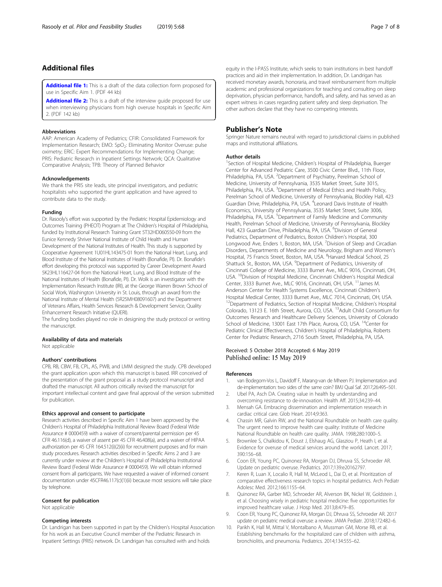# <span id="page-6-0"></span>Additional files

[Additional file 1:](https://doi.org/10.1186/s40814-019-0453-2) This is a draft of the data collection form proposed for use in Specific Aim 1. (PDF 44 kb)

[Additional file 2:](https://doi.org/10.1186/s40814-019-0453-2) This is a draft of the interview guide proposed for use when interviewing physicians from high overuse hospitals in Specific Aim 2. (PDF 142 kb)

#### Abbreviations

AAP: American Academy of Pediatrics; CFIR: Consolidated Framework for Implementation Research; EMO: SpO<sub>2</sub>: Eliminating Monitor Overuse: pulse oximetry; ERIC: Expert Recommendations for Implementing Change; PRIS: Pediatric Research in Inpatient Settings Network; QCA: Qualitative Comparative Analysis; TPB: Theory of Planned Behavior

#### Acknowledgements

We thank the PRIS site leads, site principal investigators, and pediatric hospitalists who supported the grant application and have agreed to contribute data to the study.

#### Funding

Dr. Rasooly's effort was supported by the Pediatric Hospital Epidemiology and Outcomes Training (PHEOT) Program at The Children's Hospital of Philadelphia, funded by Institutional Research Training Grant 5T32HD060550-09 from the Eunice Kennedy Shriver National Institute of Child Health and Human Development of the National Institutes of Health. This study is supported by Cooperative Agreement 1U01HL143475-01 from the National Heart, Lung, and Blood Institute of the National Institutes of Health (Bonafide, PI). Dr. Bonafide's effort developing this protocol was supported by Career Development Award 5K23HL116427-04 from the National Heart, Lung, and Blood Institute of the National Institutes of Health (Bonafide, PI). Dr. Wolk is an investigator with the Implementation Research Institute (IRI), at the George Warren Brown School of Social Work, Washington University in St. Louis, through an award from the National Institute of Mental Health (5R25MH08091607) and the Department of Veterans Affairs, Health Services Research & Development Service, Quality Enhancement Research Initiative (QUERI).

The funding bodies played no role in designing the study protocol or writing the manuscript.

#### Availability of data and materials

Not applicable

### Authors' contributions

CPB, RB, CBW, FB, CPL, AS, PWB, and LMM designed the study. CPB developed the grant application upon which this manuscript is based. IRR conceived of the presentation of the grant proposal as a study protocol manuscript and drafted the manuscript. All authors critically revised the manuscript for important intellectual content and gave final approval of the version submitted for publication.

#### Ethics approval and consent to participate

Research activities described in Specific Aim 1 have been approved by the Children's Hospital of Philadelphia Institutional Review Board (Federal Wide Assurance # 0000459) with a waiver of consent/parental permission per 45 CFR 46.116(d), a waiver of assent per 45 CFR 46.408(a), and a waiver of HIPAA authorization per 45 CFR 164.512(i)(2)(ii) for recruitment purposes and for main study procedures. Research activities described in Specific Aims 2 and 3 are currently under review at the Children's Hospital of Philadelphia Institutional Review Board (Federal Wide Assurance # 0000459). We will obtain informed consent from all participants. We have requested a waiver of informed consent documentation under 45CFR46.117(c)(1)(ii) because most sessions will take place by telephone.

# Consent for publication

Not applicable

# Competing interests

Dr. Landrigan has been supported in part by the Children's Hospital Association for his work as an Executive Council member of the Pediatric Research in Inpatient Settings (PRIS) network. Dr. Landrigan has consulted with and holds

equity in the I-PASS Institute, which seeks to train institutions in best handoff practices and aid in their implementation. In addition, Dr. Landrigan has received monetary awards, honoraria, and travel reimbursement from multiple academic and professional organizations for teaching and consulting on sleep deprivation, physician performance, handoffs, and safety, and has served as an expert witness in cases regarding patient safety and sleep deprivation. The other authors declare that they have no competing interests.

# Publisher's Note

Springer Nature remains neutral with regard to jurisdictional claims in published maps and institutional affiliations.

# Author details

<sup>1</sup>Section of Hospital Medicine, Children's Hospital of Philadelphia, Buerger Center for Advanced Pediatric Care, 3500 Civic Center Blvd., 11th Floor, Philadelphia, PA, USA. <sup>2</sup>Department of Psychiatry, Perelman School of Medicine, University of Pennsylvania, 3535 Market Street, Suite 3015, Philadelphia, PA, USA. <sup>3</sup>Department of Medical Ethics and Health Policy, Perelman School of Medicine, University of Pennsylvania, Blockley Hall, 423 Guardian Drive, Philadelphia, PA, USA. <sup>4</sup> Leonard Davis Institute of Health Economics, University of Pennsylvania, 3535 Market Street, Suite 3006, Philadelphia, PA, USA. <sup>5</sup> Department of Family Medicine and Community Health, Perelman School of Medicine, University of Pennsylvania, Blockley Hall, 423 Guardian Drive, Philadelphia, PA, USA. <sup>6</sup>Division of General Pediatrics, Department of Pediatrics, Boston Children's Hospital, 300 Longwood Ave, Enders 1, Boston, MA, USA. <sup>7</sup> Division of Sleep and Circadian Disorders, Departments of Medicine and Neurology, Brigham and Women's Hospital, 75 Francis Street, Boston, MA, USA. <sup>8</sup>Harvard Medical School, 25 Shattuck St., Boston, MA, USA. <sup>9</sup>Department of Pediatrics, University of Cincinnati College of Medicine, 3333 Burnet Ave., MLC 9016, Cincinnati, OH, USA. <sup>10</sup>Division of Hospital Medicine, Cincinnati Children's Hospital Medical Center, 3333 Burnet Ave., MLC 9016, Cincinnati, OH, USA. 11James M. Anderson Center for Health Systems Excellence, Cincinnati Children's Hospital Medical Center, 3333 Burnet Ave., MLC 7014, Cincinnati, OH, USA. <sup>12</sup>Department of Pediatrics, Section of Hospital Medicine, Children's Hospital Colorado, 13123 E. 16th Street, Aurora, CO, USA. 13Adult Child Consortium for Outcomes Research and Healthcare Delivery Sciences, University of Colorado School of Medicine, 13001 East 17th Place, Aurora, CO, USA. <sup>14</sup>Center for Pediatric Clinical Effectiveness, Children's Hospital of Philadelphia, Roberts Center for Pediatric Research, 2716 South Street, Philadelphia, PA, USA.

# Received: 5 October 2018 Accepted: 6 May 2019 Published online: 15 May 2019

#### References

- 1. van Bodegom-Vos L, Davidoff F, Marang-van de Mheen PJ. Implementation and de-implementation: two sides of the same coin? BMJ Qual Saf. 2017;26:495–501.
- 2. Ubel PA, Asch DA. Creating value in health by understanding and overcoming resistance to de-innovation. Health Aff. 2015;34:239–44.
- 3. Mensah GA. Embracing dissemination and implementation research in cardiac critical care. Glob Heart. 2014;9:363.
- 4. Chassin MR, Galvin RW, and the National Roundtable on health care quality. The urgent need to improve health care quality: Institute of Medicine National Roundtable on health care quality. JAMA. 1998;280:1000–5.
- Brownlee S, Chalkidou K, Doust J, Elshaug AG, Glasziou P, Heath I, et al. Evidence for overuse of medical services around the world. Lancet. 2017; 390:156–68.
- 6. Coon ER, Young PC, Quinonez RA, Morgan DJ, Dhruva SS, Schroeder AR. Update on pediatric overuse. Pediatrics. 2017;139:e20162797.
- 7. Keren R, Luan X, Localio R, Hall M, McLeod L, Dai D, et al. Prioritization of comparative effectiveness research topics in hospital pediatrics. Arch Pediatr Adolesc Med. 2012;166:1155–64.
- 8. Quinonez RA, Garber MD, Schroeder AR, Alverson BK, Nickel W, Goldstein J, et al. Choosing wisely in pediatric hospital medicine: five opportunities for improved healthcare value. J Hosp Med. 2013;8:479–85.
- 9. Coon ER, Young PC, Quinonez RA, Morgan DJ, Dhruva SS, Schroeder AR. 2017 update on pediatric medical overuse: a review. JAMA Pediatr. 2018;172:482–6.
- 10. Parikh K, Hall M, Mittal V, Montalbano A, Mussman GM, Morse RB, et al. Establishing benchmarks for the hospitalized care of children with asthma, bronchiolitis, and pneumonia. Pediatrics. 2014;134:555–62.